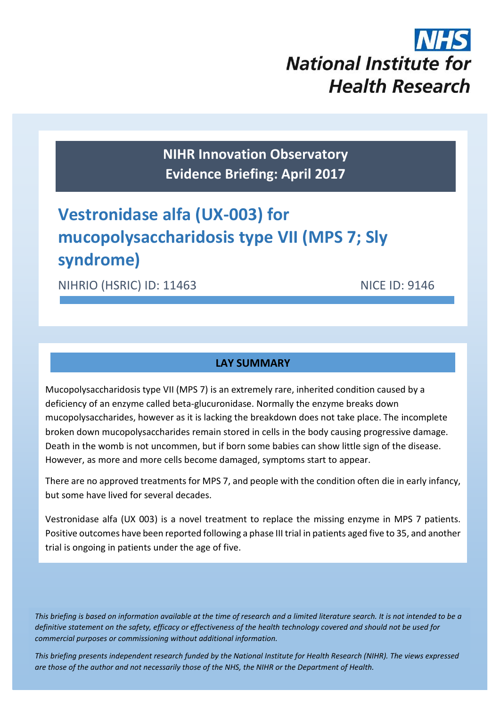

**NIHR Innovation Observatory Evidence Briefing: April 2017**

# **Vestronidase alfa (UX-003) for mucopolysaccharidosis type VII (MPS 7; Sly syndrome)**

NIHRIO (HSRIC) ID: 11463 NICE ID: 9146

## **LAY SUMMARY**

Mucopolysaccharidosis type VII (MPS 7) is an extremely rare, inherited condition caused by a deficiency of an enzyme called beta-glucuronidase. Normally the enzyme breaks down mucopolysaccharides, however as it is lacking the breakdown does not take place. The incomplete broken down mucopolysaccharides remain stored in cells in the body causing progressive damage. Death in the womb is not uncommen, but if born some babies can show little sign of the disease. However, as more and more cells become damaged, symptoms start to appear.

There are no approved treatments for MPS 7, and people with the condition often die in early infancy, but some have lived for several decades.

Vestronidase alfa (UX 003) is a novel treatment to replace the missing enzyme in MPS 7 patients. Positive outcomes have been reported following a phase III trial in patients aged five to 35, and another trial is ongoing in patients under the age of five.

*This briefing is based on information available at the time of research and a limited literature search. It is not intended to be a definitive statement on the safety, efficacy or effectiveness of the health technology covered and should not be used for commercial purposes or commissioning without additional information.*

1 *This briefing presents independent research funded by the National Institute for Health Research (NIHR). The views expressed are those of the author and not necessarily those of the NHS, the NIHR or the Department of Health.*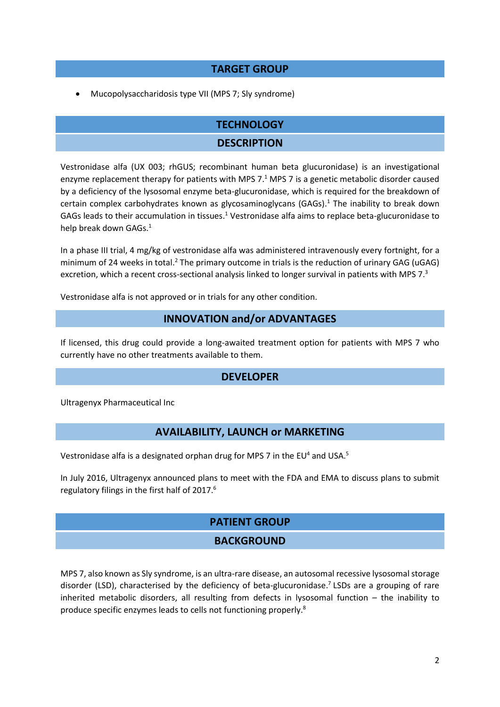## **TARGET GROUP**

Mucopolysaccharidosis type VII (MPS 7; Sly syndrome)

## **TECHNOLOGY**

#### <span id="page-1-0"></span>**DESCRIPTION**

Vestronidase alfa (UX 003; rhGUS; recombinant human beta glucuronidase) is an investigational enzyme replacement therapy for patients with MPS 7.<sup>1</sup> MPS 7 is a genetic metabolic disorder caused by a deficiency of the lysosomal enzyme beta-glucuronidase, which is required for the breakdown of certain complex carbohydrates known as glycosaminoglycans (GAGs)[.](#page-1-0)<sup>1</sup> The inability to break down GAGs leads to their accumulation in tissues.<sup>[1](#page-1-0)</sup> Vestronidase alfa aims to replace beta-glucuronidase to help break down GAGs.<sup>[1](#page-1-0)</sup>

In a phase III trial, 4 mg/kg of vestronidase alfa was administered intravenously every fortnight, for a minimum of 24 weeks in total.<sup>2</sup> The primary outcome in trials is the reduction of urinary GAG (uGAG) excretion, which a recent cross-sectional analysis linked to longer survival in patients with MPS 7.<sup>3</sup>

Vestronidase alfa is not approved or in trials for any other condition.

#### <span id="page-1-5"></span>**INNOVATION and/or ADVANTAGES**

If licensed, this drug could provide a long-awaited treatment option for patients with MPS 7 who currently have no other treatments available to them.

#### <span id="page-1-4"></span>**DEVELOPER**

Ultragenyx Pharmaceutical Inc

## **AVAILABILITY, LAUNCH or MARKETING**

Vestronidase alfa is a designated orphan drug for MPS 7 in the EU<sup>4</sup> and USA.<sup>5</sup>

In July 2016, Ultragenyx announced plans to meet with the FDA and EMA to discuss plans to submit regulatory filings in the first half of 2017. 6

## <span id="page-1-3"></span>**PATIENT GROUP**

## <span id="page-1-2"></span><span id="page-1-1"></span>**BACKGROUND**

MPS 7, also known as Sly syndrome, is an ultra-rare disease, an autosomal recessive lysosomal storage disorder (LSD), characterised by the deficiency of beta-glucuronidase.<sup>7</sup> LSDs are a grouping of rare inherited metabolic disorders, all resulting from defects in lysosomal function – the inability to produce specific enzymes leads to cells not functioning properly.<sup>8</sup>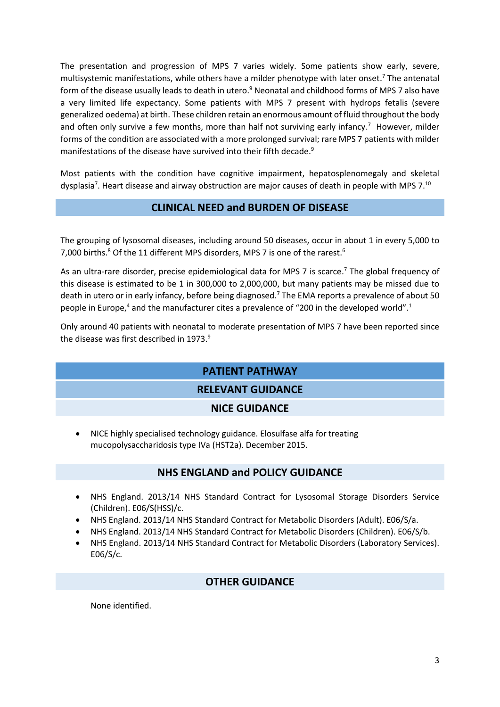The presentation and progression of MPS 7 varies widely. Some patients show early, severe, multisystemic manifestations, while others have a milder phenotype with later onset[.](#page-1-1) <sup>7</sup> The antenatal form of the disease usually leads to death in utero.<sup>9</sup> Neonatal and childhood forms of MPS 7 also have a very limited life expectancy. Some patients with MPS 7 present with hydrops fetalis (severe generalized oedema) at birth. These children retain an enormous amount of fluid throughout the body and often only survive a few months, more than half not surviving early infancy[.](#page-1-1)<sup>7</sup> However, milder forms of the condition are associated with a more prolonged survival; rare MPS 7 patients with milder manifestations of the disease have survived into their fifth decade[.](#page-2-0)<sup>9</sup>

Most patients with the condition have cognitive impairment, hepatosplenomegaly and skeletal dyspl[a](#page-1-1)sia<sup>7</sup>. Heart disease and airway obstruction are major causes of death in people with MPS 7.<sup>10</sup>

## <span id="page-2-0"></span>**CLINICAL NEED and BURDEN OF DISEASE**

The grouping of lysosomal diseases, including around 50 diseases, occur in about 1 in every 5,000 to 7,000 births[.](#page-1-3)<sup>8</sup> Of the 11 different MPS disorders, MPS 7 is one of the rarest.<sup>6</sup>

As an ultra-rare disorder, precise epidemiological data for MPS 7 is scarce[.](#page-1-1)<sup>7</sup> The global frequency of this disease is estimated to be 1 in 300,000 to 2,000,000, but many patients may be missed due to death in utero or in early infancy, before being diagnosed.<sup>[7](#page-1-1)</sup> The EMA reports a prevalence of about 50 people in Europe,<sup>[4](#page-1-4)</sup> and the manufacturer cites a prevalence of "200 in the developed world"[.](#page-1-0)<sup>1</sup>

Only around 40 patients with neonatal to moderate presentation of MPS 7 have been reported since the disease was first described in 1973[.](#page-2-0)<sup>9</sup>

## **PATIENT PATHWAY**

## **RELEVANT GUIDANCE**

## **NICE GUIDANCE**

 NICE highly specialised technology guidance. Elosulfase alfa for treating mucopolysaccharidosis type IVa (HST2a). December 2015.

## **NHS ENGLAND and POLICY GUIDANCE**

- NHS England. 2013/14 NHS Standard Contract for Lysosomal Storage Disorders Service (Children). E06/S(HSS)/c.
- NHS England. 2013/14 NHS Standard Contract for Metabolic Disorders (Adult). E06/S/a.
- NHS England. 2013/14 NHS Standard Contract for Metabolic Disorders (Children). E06/S/b.
- NHS England. 2013/14 NHS Standard Contract for Metabolic Disorders (Laboratory Services). E06/S/c.

## **OTHER GUIDANCE**

None identified.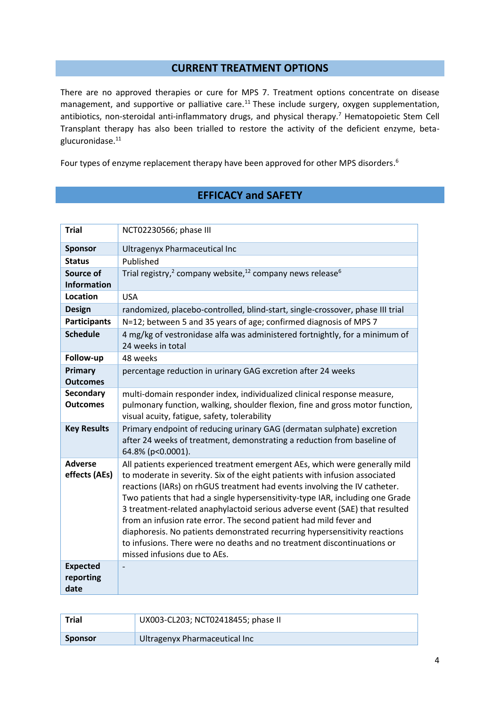## <span id="page-3-0"></span>**CURRENT TREATMENT OPTIONS**

There are no approved therapies or cure for MPS 7. Treatment options concentrate on disease management, and supportive or palliative care.<sup>11</sup> These include surgery, oxygen supplementation, antibiotics, non-steroidal anti-inflammatory drugs, and physical therapy.<sup>[7](#page-1-1)</sup> Hematopoietic Stem Cell Transplant therapy has also been trialled to restore the activity of the deficient enzyme, betaglucuronidase. [11](#page-3-0)

Four types of enzyme replacement therapy have been approved for other MPS disorders[.](#page-1-3)<sup>6</sup>

# <span id="page-3-1"></span>**EFFICACY and SAFETY**

| <b>Trial</b>                         | NCT02230566; phase III                                                                                                                                                                                                                                                                                                                                                                                                                                                                                                                                                                                                                                                |
|--------------------------------------|-----------------------------------------------------------------------------------------------------------------------------------------------------------------------------------------------------------------------------------------------------------------------------------------------------------------------------------------------------------------------------------------------------------------------------------------------------------------------------------------------------------------------------------------------------------------------------------------------------------------------------------------------------------------------|
| <b>Sponsor</b>                       | Ultragenyx Pharmaceutical Inc                                                                                                                                                                                                                                                                                                                                                                                                                                                                                                                                                                                                                                         |
| <b>Status</b>                        | Published                                                                                                                                                                                                                                                                                                                                                                                                                                                                                                                                                                                                                                                             |
| Source of<br><b>Information</b>      | Trial registry, <sup>2</sup> company website, <sup>12</sup> company news release <sup>6</sup>                                                                                                                                                                                                                                                                                                                                                                                                                                                                                                                                                                         |
| Location                             | <b>USA</b>                                                                                                                                                                                                                                                                                                                                                                                                                                                                                                                                                                                                                                                            |
| <b>Design</b>                        | randomized, placebo-controlled, blind-start, single-crossover, phase III trial                                                                                                                                                                                                                                                                                                                                                                                                                                                                                                                                                                                        |
| <b>Participants</b>                  | N=12; between 5 and 35 years of age; confirmed diagnosis of MPS 7                                                                                                                                                                                                                                                                                                                                                                                                                                                                                                                                                                                                     |
| <b>Schedule</b>                      | 4 mg/kg of vestronidase alfa was administered fortnightly, for a minimum of<br>24 weeks in total                                                                                                                                                                                                                                                                                                                                                                                                                                                                                                                                                                      |
| Follow-up                            | 48 weeks                                                                                                                                                                                                                                                                                                                                                                                                                                                                                                                                                                                                                                                              |
| Primary<br><b>Outcomes</b>           | percentage reduction in urinary GAG excretion after 24 weeks                                                                                                                                                                                                                                                                                                                                                                                                                                                                                                                                                                                                          |
| <b>Secondary</b><br><b>Outcomes</b>  | multi-domain responder index, individualized clinical response measure,<br>pulmonary function, walking, shoulder flexion, fine and gross motor function,<br>visual acuity, fatigue, safety, tolerability                                                                                                                                                                                                                                                                                                                                                                                                                                                              |
| <b>Key Results</b>                   | Primary endpoint of reducing urinary GAG (dermatan sulphate) excretion<br>after 24 weeks of treatment, demonstrating a reduction from baseline of<br>64.8% (p<0.0001).                                                                                                                                                                                                                                                                                                                                                                                                                                                                                                |
| <b>Adverse</b><br>effects (AEs)      | All patients experienced treatment emergent AEs, which were generally mild<br>to moderate in severity. Six of the eight patients with infusion associated<br>reactions (IARs) on rhGUS treatment had events involving the IV catheter.<br>Two patients that had a single hypersensitivity-type IAR, including one Grade<br>3 treatment-related anaphylactoid serious adverse event (SAE) that resulted<br>from an infusion rate error. The second patient had mild fever and<br>diaphoresis. No patients demonstrated recurring hypersensitivity reactions<br>to infusions. There were no deaths and no treatment discontinuations or<br>missed infusions due to AEs. |
| <b>Expected</b><br>reporting<br>date |                                                                                                                                                                                                                                                                                                                                                                                                                                                                                                                                                                                                                                                                       |

| <b>Trial</b>   | UX003-CL203; NCT02418455; phase II |  |
|----------------|------------------------------------|--|
| <b>Sponsor</b> | Ultragenyx Pharmaceutical Inc      |  |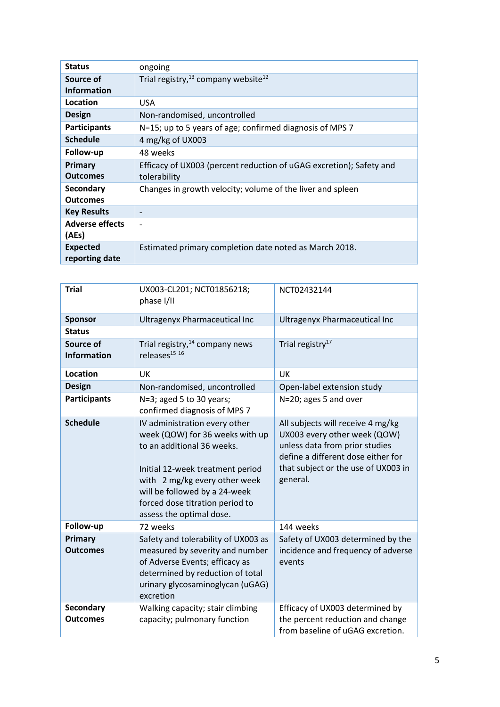| <b>Status</b>          | ongoing                                                             |
|------------------------|---------------------------------------------------------------------|
| Source of              | Trial registry, $13$ company website <sup>12</sup>                  |
| <b>Information</b>     |                                                                     |
| Location               | <b>USA</b>                                                          |
| Design                 | Non-randomised, uncontrolled                                        |
| <b>Participants</b>    | N=15; up to 5 years of age; confirmed diagnosis of MPS 7            |
| <b>Schedule</b>        | 4 mg/kg of UX003                                                    |
| Follow-up              | 48 weeks                                                            |
| Primary                | Efficacy of UX003 (percent reduction of uGAG excretion); Safety and |
| <b>Outcomes</b>        | tolerability                                                        |
| <b>Secondary</b>       | Changes in growth velocity; volume of the liver and spleen          |
| <b>Outcomes</b>        |                                                                     |
| <b>Key Results</b>     | $\overline{\phantom{a}}$                                            |
| <b>Adverse effects</b> | $\overline{\phantom{0}}$                                            |
| (AEs)                  |                                                                     |
| <b>Expected</b>        | Estimated primary completion date noted as March 2018.              |
| reporting date         |                                                                     |

| <b>Trial</b>                        | UX003-CL201; NCT01856218;<br>phase I/II                                                                                                                                                                                                                             | NCT02432144                                                                                                                                                                                  |  |
|-------------------------------------|---------------------------------------------------------------------------------------------------------------------------------------------------------------------------------------------------------------------------------------------------------------------|----------------------------------------------------------------------------------------------------------------------------------------------------------------------------------------------|--|
| <b>Sponsor</b>                      | <b>Ultragenyx Pharmaceutical Inc</b>                                                                                                                                                                                                                                | <b>Ultragenyx Pharmaceutical Inc</b>                                                                                                                                                         |  |
| <b>Status</b>                       |                                                                                                                                                                                                                                                                     |                                                                                                                                                                                              |  |
| Source of<br><b>Information</b>     | Trial registry, <sup>14</sup> company news<br>releases <sup>15</sup> 16                                                                                                                                                                                             | Trial registry <sup>17</sup>                                                                                                                                                                 |  |
| <b>Location</b>                     | UK                                                                                                                                                                                                                                                                  | UK                                                                                                                                                                                           |  |
| <b>Design</b>                       | Non-randomised, uncontrolled                                                                                                                                                                                                                                        | Open-label extension study                                                                                                                                                                   |  |
| <b>Participants</b>                 | N=3; aged 5 to 30 years;<br>confirmed diagnosis of MPS 7                                                                                                                                                                                                            | N=20; ages 5 and over                                                                                                                                                                        |  |
| <b>Schedule</b>                     | IV administration every other<br>week (QOW) for 36 weeks with up<br>to an additional 36 weeks.<br>Initial 12-week treatment period<br>with 2 mg/kg every other week<br>will be followed by a 24-week<br>forced dose titration period to<br>assess the optimal dose. | All subjects will receive 4 mg/kg<br>UX003 every other week (QOW)<br>unless data from prior studies<br>define a different dose either for<br>that subject or the use of UX003 in<br>general. |  |
| Follow-up                           | 72 weeks                                                                                                                                                                                                                                                            | 144 weeks                                                                                                                                                                                    |  |
| Primary<br><b>Outcomes</b>          | Safety and tolerability of UX003 as<br>measured by severity and number<br>of Adverse Events; efficacy as<br>determined by reduction of total<br>urinary glycosaminoglycan (uGAG)<br>excretion                                                                       | Safety of UX003 determined by the<br>incidence and frequency of adverse<br>events                                                                                                            |  |
| <b>Secondary</b><br><b>Outcomes</b> | Walking capacity; stair climbing<br>capacity; pulmonary function                                                                                                                                                                                                    | Efficacy of UX003 determined by<br>the percent reduction and change<br>from baseline of uGAG excretion.                                                                                      |  |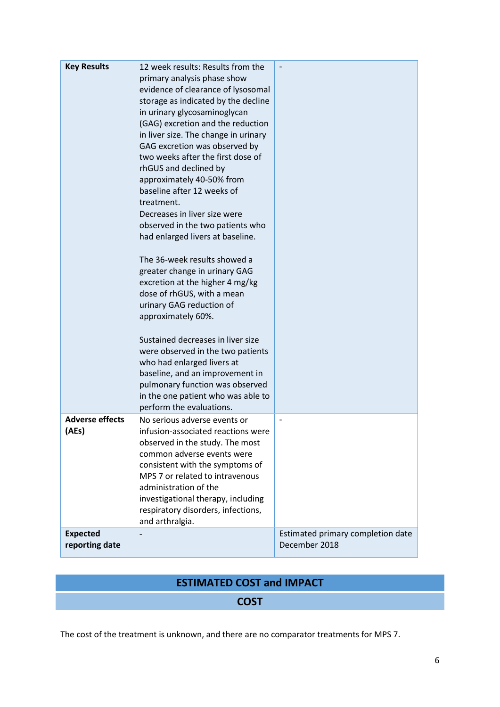| <b>Key Results</b>                | 12 week results: Results from the<br>primary analysis phase show<br>evidence of clearance of lysosomal<br>storage as indicated by the decline<br>in urinary glycosaminoglycan<br>(GAG) excretion and the reduction<br>in liver size. The change in urinary<br>GAG excretion was observed by<br>two weeks after the first dose of<br>rhGUS and declined by<br>approximately 40-50% from<br>baseline after 12 weeks of<br>treatment.<br>Decreases in liver size were<br>observed in the two patients who<br>had enlarged livers at baseline.<br>The 36-week results showed a<br>greater change in urinary GAG<br>excretion at the higher 4 mg/kg<br>dose of rhGUS, with a mean<br>urinary GAG reduction of<br>approximately 60%.<br>Sustained decreases in liver size<br>were observed in the two patients<br>who had enlarged livers at<br>baseline, and an improvement in |                                                    |
|-----------------------------------|---------------------------------------------------------------------------------------------------------------------------------------------------------------------------------------------------------------------------------------------------------------------------------------------------------------------------------------------------------------------------------------------------------------------------------------------------------------------------------------------------------------------------------------------------------------------------------------------------------------------------------------------------------------------------------------------------------------------------------------------------------------------------------------------------------------------------------------------------------------------------|----------------------------------------------------|
|                                   | pulmonary function was observed<br>in the one patient who was able to<br>perform the evaluations.                                                                                                                                                                                                                                                                                                                                                                                                                                                                                                                                                                                                                                                                                                                                                                         |                                                    |
| <b>Adverse effects</b><br>(AEs)   | No serious adverse events or<br>infusion-associated reactions were<br>observed in the study. The most<br>common adverse events were<br>consistent with the symptoms of<br>MPS 7 or related to intravenous<br>administration of the<br>investigational therapy, including<br>respiratory disorders, infections,<br>and arthralgia.                                                                                                                                                                                                                                                                                                                                                                                                                                                                                                                                         |                                                    |
| <b>Expected</b><br>reporting date |                                                                                                                                                                                                                                                                                                                                                                                                                                                                                                                                                                                                                                                                                                                                                                                                                                                                           | Estimated primary completion date<br>December 2018 |

# **ESTIMATED COST and IMPACT**

## **COST**

The cost of the treatment is unknown, and there are no comparator treatments for MPS 7.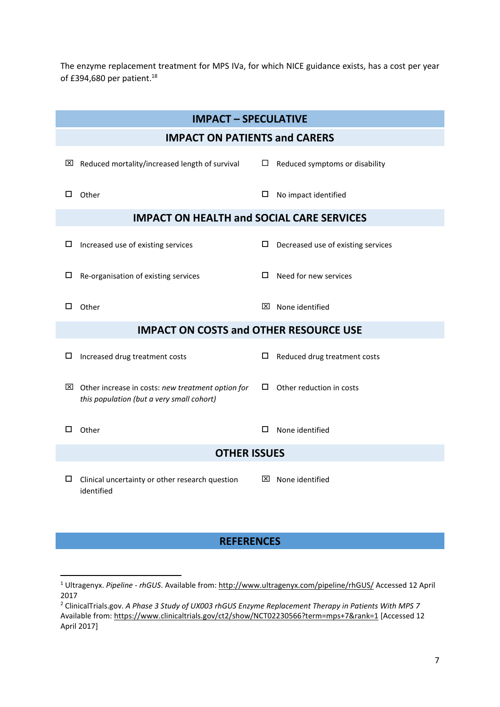The enzyme replacement treatment for MPS IVa, for which NICE guidance exists, has a cost per year of £394,680 per patient.<sup>18</sup>

|                                      | <b>IMPACT - SPECULATIVE</b>                                                                                |              |                                    |  |  |
|--------------------------------------|------------------------------------------------------------------------------------------------------------|--------------|------------------------------------|--|--|
| <b>IMPACT ON PATIENTS and CARERS</b> |                                                                                                            |              |                                    |  |  |
| $\mathsf{X}$                         | Reduced mortality/increased length of survival                                                             | ப            | Reduced symptoms or disability     |  |  |
| □                                    | Other                                                                                                      | □            | No impact identified               |  |  |
|                                      | <b>IMPACT ON HEALTH and SOCIAL CARE SERVICES</b>                                                           |              |                                    |  |  |
| □                                    | Increased use of existing services                                                                         | □            | Decreased use of existing services |  |  |
| □                                    | Re-organisation of existing services                                                                       | □            | Need for new services              |  |  |
| □                                    | Other                                                                                                      | $\mathsf{X}$ | None identified                    |  |  |
|                                      | <b>IMPACT ON COSTS and OTHER RESOURCE USE</b>                                                              |              |                                    |  |  |
| □                                    | Increased drug treatment costs                                                                             | □            | Reduced drug treatment costs       |  |  |
|                                      | $\boxtimes$ Other increase in costs: new treatment option for<br>this population (but a very small cohort) | □            | Other reduction in costs           |  |  |
| П                                    | Other                                                                                                      | □            | None identified                    |  |  |
| <b>OTHER ISSUES</b>                  |                                                                                                            |              |                                    |  |  |
| □                                    | Clinical uncertainty or other research question<br>identified                                              |              | $\boxtimes$ None identified        |  |  |

## **REFERENCES**

**.** 

<sup>1</sup> Ultragenyx. *Pipeline - rhGUS*. Available from: <http://www.ultragenyx.com/pipeline/rhGUS/> Accessed 12 April 2017

<sup>2</sup> ClinicalTrials.gov. *A Phase 3 Study of UX003 rhGUS Enzyme Replacement Therapy in Patients With MPS 7*  Available from:<https://www.clinicaltrials.gov/ct2/show/NCT02230566?term=mps+7&rank=1> [Accessed 12 April 2017]